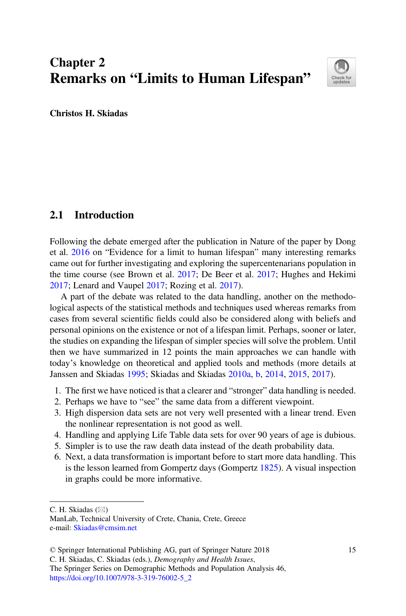# Chapter 2 Remarks on "Limits to Human Lifespan"



Christos H. Skiadas

# 2.1 Introduction

Following the debate emerged after the publication in Nature of the paper by Dong et al. [2016](#page-14-0) on "Evidence for a limit to human lifespan" many interesting remarks came out for further investigating and exploring the supercentenarians population in the time course (see Brown et al. [2017](#page-14-1); De Beer et al. [2017](#page-14-2); Hughes and Hekimi [2017;](#page-14-3) Lenard and Vaupel [2017;](#page-14-4) Rozing et al. [2017\)](#page-14-5).

A part of the debate was related to the data handling, another on the methodological aspects of the statistical methods and techniques used whereas remarks from cases from several scientific fields could also be considered along with beliefs and personal opinions on the existence or not of a lifespan limit. Perhaps, sooner or later, the studies on expanding the lifespan of simpler species will solve the problem. Until then we have summarized in 12 points the main approaches we can handle with today's knowledge on theoretical and applied tools and methods (more details at Janssen and Skiadas [1995;](#page-14-6) Skiadas and Skiadas [2010a,](#page-14-7) [b,](#page-14-8) [2014](#page-14-9), [2015](#page-15-0), [2017\)](#page-15-1).

- 1. The first we have noticed is that a clearer and "stronger" data handling is needed.
- 2. Perhaps we have to "see" the same data from a different viewpoint.
- 3. High dispersion data sets are not very well presented with a linear trend. Even the nonlinear representation is not good as well.
- 4. Handling and applying Life Table data sets for over 90 years of age is dubious.
- 5. Simpler is to use the raw death data instead of the death probability data.
- 6. Next, a data transformation is important before to start more data handling. This is the lesson learned from Gompertz days (Gompertz [1825](#page-14-10)). A visual inspection in graphs could be more informative.

C. H. Skiadas  $(\boxtimes)$ 

The Springer Series on Demographic Methods and Population Analysis 46, [https://doi.org/10.1007/978-3-319-76002-5\\_2](https://doi.org/10.1007/978-3-319-76002-5_2)

ManLab, Technical University of Crete, Chania, Crete, Greece e-mail: [Skiadas@cmsim.net](mailto:Skiadas@cmsim.net)

<sup>©</sup> Springer International Publishing AG, part of Springer Nature 2018

C. H. Skiadas, C. Skiadas (eds.), Demography and Health Issues,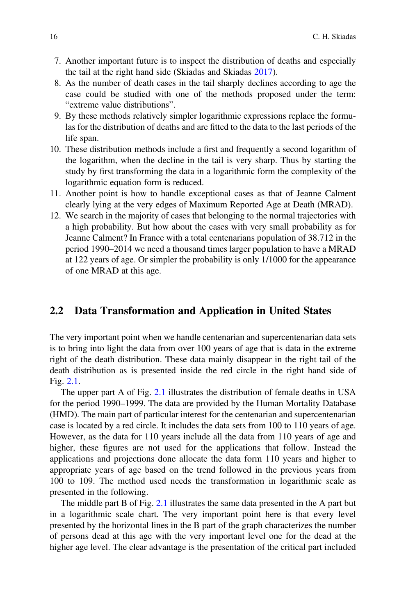- 7. Another important future is to inspect the distribution of deaths and especially the tail at the right hand side (Skiadas and Skiadas [2017](#page-15-1)).
- 8. As the number of death cases in the tail sharply declines according to age the case could be studied with one of the methods proposed under the term: "extreme value distributions".
- 9. By these methods relatively simpler logarithmic expressions replace the formulas for the distribution of deaths and are fitted to the data to the last periods of the life span.
- 10. These distribution methods include a first and frequently a second logarithm of the logarithm, when the decline in the tail is very sharp. Thus by starting the study by first transforming the data in a logarithmic form the complexity of the logarithmic equation form is reduced.
- 11. Another point is how to handle exceptional cases as that of Jeanne Calment clearly lying at the very edges of Maximum Reported Age at Death (MRAD).
- 12. We search in the majority of cases that belonging to the normal trajectories with a high probability. But how about the cases with very small probability as for Jeanne Calment? In France with a total centenarians population of 38.712 in the period 1990–2014 we need a thousand times larger population to have a MRAD at 122 years of age. Or simpler the probability is only 1/1000 for the appearance of one MRAD at this age.

### 2.2 Data Transformation and Application in United States

The very important point when we handle centenarian and supercentenarian data sets is to bring into light the data from over 100 years of age that is data in the extreme right of the death distribution. These data mainly disappear in the right tail of the death distribution as is presented inside the red circle in the right hand side of Fig. [2.1.](#page-2-0)

The upper part A of Fig. [2.1](#page-2-0) illustrates the distribution of female deaths in USA for the period 1990–1999. The data are provided by the Human Mortality Database (HMD). The main part of particular interest for the centenarian and supercentenarian case is located by a red circle. It includes the data sets from 100 to 110 years of age. However, as the data for 110 years include all the data from 110 years of age and higher, these figures are not used for the applications that follow. Instead the applications and projections done allocate the data form 110 years and higher to appropriate years of age based on the trend followed in the previous years from 100 to 109. The method used needs the transformation in logarithmic scale as presented in the following.

The middle part B of Fig. [2.1](#page-2-0) illustrates the same data presented in the A part but in a logarithmic scale chart. The very important point here is that every level presented by the horizontal lines in the B part of the graph characterizes the number of persons dead at this age with the very important level one for the dead at the higher age level. The clear advantage is the presentation of the critical part included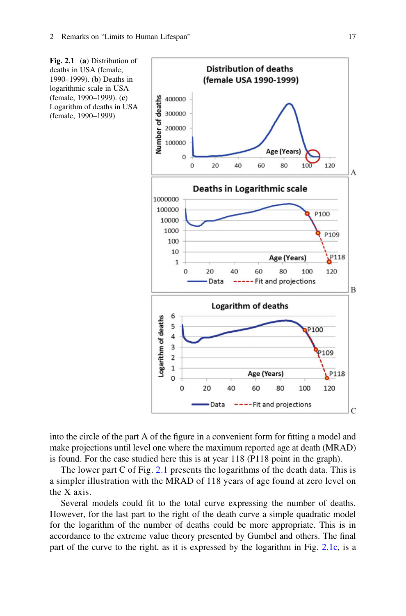<span id="page-2-0"></span>

into the circle of the part A of the figure in a convenient form for fitting a model and make projections until level one where the maximum reported age at death (MRAD) is found. For the case studied here this is at year 118 (P118 point in the graph).

The lower part C of Fig. [2.1](#page-2-0) presents the logarithms of the death data. This is a simpler illustration with the MRAD of 118 years of age found at zero level on the X axis.

Several models could fit to the total curve expressing the number of deaths. However, for the last part to the right of the death curve a simple quadratic model for the logarithm of the number of deaths could be more appropriate. This is in accordance to the extreme value theory presented by Gumbel and others. The final part of the curve to the right, as it is expressed by the logarithm in Fig. [2.1c](#page-2-0), is a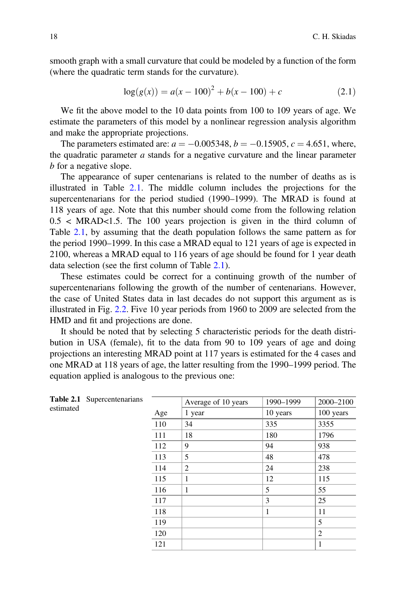<span id="page-3-1"></span>smooth graph with a small curvature that could be modeled by a function of the form (where the quadratic term stands for the curvature).

$$
log(g(x)) = a(x - 100)^{2} + b(x - 100) + c
$$
\n(2.1)

We fit the above model to the 10 data points from 100 to 109 years of age. We estimate the parameters of this model by a nonlinear regression analysis algorithm and make the appropriate projections.

The parameters estimated are:  $a = -0.005348$ ,  $b = -0.15905$ ,  $c = 4.651$ , where, the quadratic parameter  $a$  stands for a negative curvature and the linear parameter b for a negative slope.

The appearance of super centenarians is related to the number of deaths as is illustrated in Table [2.1.](#page-3-0) The middle column includes the projections for the supercentenarians for the period studied (1990–1999). The MRAD is found at 118 years of age. Note that this number should come from the following relation  $0.5 < MRAD < 1.5$ . The 100 years projection is given in the third column of Table [2.1](#page-3-0), by assuming that the death population follows the same pattern as for the period 1990–1999. In this case a MRAD equal to 121 years of age is expected in 2100, whereas a MRAD equal to 116 years of age should be found for 1 year death data selection (see the first column of Table [2.1\)](#page-3-0).

These estimates could be correct for a continuing growth of the number of supercentenarians following the growth of the number of centenarians. However, the case of United States data in last decades do not support this argument as is illustrated in Fig. [2.2.](#page-4-0) Five 10 year periods from 1960 to 2009 are selected from the HMD and fit and projections are done.

It should be noted that by selecting 5 characteristic periods for the death distribution in USA (female), fit to the data from 90 to 109 years of age and doing projections an interesting MRAD point at 117 years is estimated for the 4 cases and one MRAD at 118 years of age, the latter resulting from the 1990–1999 period. The equation applied is analogous to the previous one:

<span id="page-3-0"></span>

| estimated | Table 2.1 Supercentenarians |     | Average of 10 years | 1990-1999 | 2000-2100      |
|-----------|-----------------------------|-----|---------------------|-----------|----------------|
|           |                             | Age | 1 year              | 10 years  | 100 years      |
|           |                             | 110 | 34                  | 335       | 3355           |
|           |                             | 111 | 18                  | 180       | 1796           |
|           |                             | 112 | 9                   | 94        | 938            |
|           |                             | 113 | 5                   | 48        | 478            |
|           |                             | 114 | 2                   | 24        | 238            |
|           |                             | 115 | 1                   | 12        | 115            |
|           |                             | 116 | 1                   | 5         | 55             |
|           |                             | 117 |                     | 3         | 25             |
|           |                             | 118 |                     | 1         | 11             |
|           |                             | 119 |                     |           | 5              |
|           |                             | 120 |                     |           | $\overline{2}$ |
|           |                             | 121 |                     |           | 1              |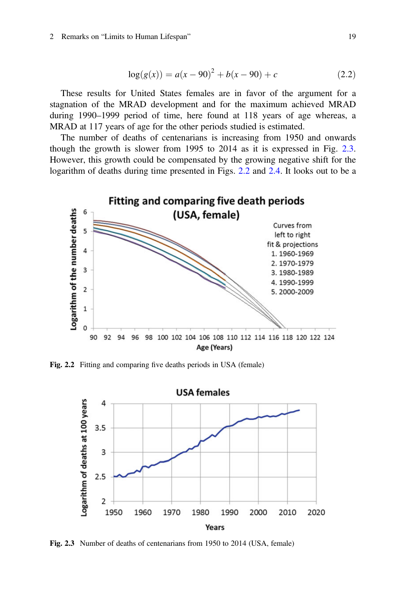#### 2 Remarks on "Limits to Human Lifespan" 19

$$
log(g(x)) = a(x - 90)^{2} + b(x - 90) + c
$$
\n(2.2)

These results for United States females are in favor of the argument for a stagnation of the MRAD development and for the maximum achieved MRAD during 1990–1999 period of time, here found at 118 years of age whereas, a MRAD at 117 years of age for the other periods studied is estimated.

The number of deaths of centenarians is increasing from 1950 and onwards though the growth is slower from 1995 to 2014 as it is expressed in Fig. [2.3](#page-4-1). However, this growth could be compensated by the growing negative shift for the logarithm of deaths during time presented in Figs. [2.2](#page-4-0) and [2.4](#page-5-0). It looks out to be a

<span id="page-4-0"></span>

<span id="page-4-1"></span>Fig. 2.2 Fitting and comparing five deaths periods in USA (female)



Fig. 2.3 Number of deaths of centenarians from 1950 to 2014 (USA, female)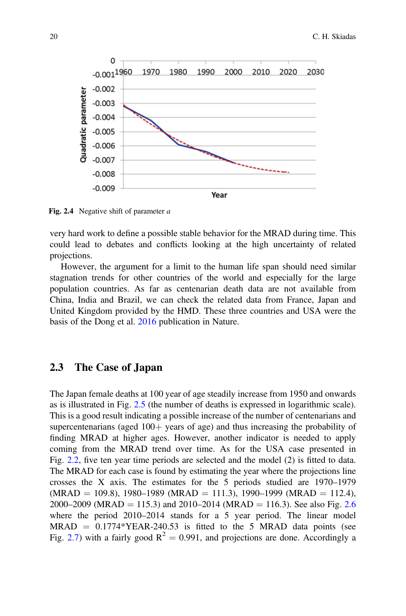<span id="page-5-0"></span>

Fig. 2.4 Negative shift of parameter a

very hard work to define a possible stable behavior for the MRAD during time. This could lead to debates and conflicts looking at the high uncertainty of related projections.

However, the argument for a limit to the human life span should need similar stagnation trends for other countries of the world and especially for the large population countries. As far as centenarian death data are not available from China, India and Brazil, we can check the related data from France, Japan and United Kingdom provided by the HMD. These three countries and USA were the basis of the Dong et al. [2016](#page-14-0) publication in Nature.

#### 2.3 The Case of Japan

The Japan female deaths at 100 year of age steadily increase from 1950 and onwards as is illustrated in Fig. [2.5](#page-6-0) (the number of deaths is expressed in logarithmic scale). This is a good result indicating a possible increase of the number of centenarians and supercentenarians (aged  $100<sub>+</sub>$  years of age) and thus increasing the probability of finding MRAD at higher ages. However, another indicator is needed to apply coming from the MRAD trend over time. As for the USA case presented in Fig. [2.2](#page-4-0), five ten year time periods are selected and the model (2) is fitted to data. The MRAD for each case is found by estimating the year where the projections line crosses the X axis. The estimates for the 5 periods studied are 1970–1979  $(MRAD = 109.8)$ , 1980–1989 (MRAD = 111.3), 1990–1999 (MRAD = 112.4), 2000–2009 (MRAD = 115.3) and 2010–2014 (MRAD = 116.3). See also Fig. [2.6](#page-6-1) where the period 2010–2014 stands for a 5 year period. The linear model  $MRAD = 0.1774*YEAR-240.53$  is fitted to the 5 MRAD data points (see Fig. [2.7](#page-7-0)) with a fairly good  $R^2 = 0.991$ , and projections are done. Accordingly a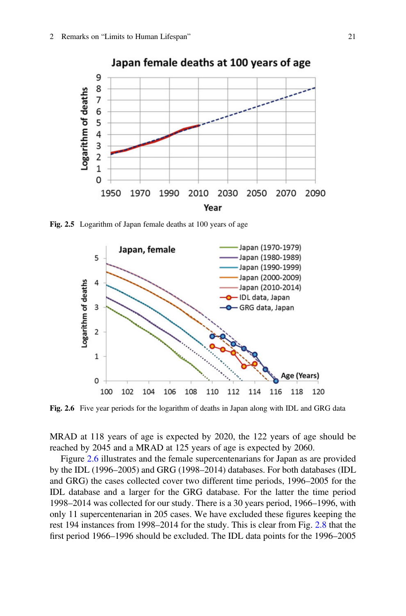<span id="page-6-0"></span>

<span id="page-6-1"></span>Fig. 2.5 Logarithm of Japan female deaths at 100 years of age



Fig. 2.6 Five year periods for the logarithm of deaths in Japan along with IDL and GRG data

MRAD at 118 years of age is expected by 2020, the 122 years of age should be reached by 2045 and a MRAD at 125 years of age is expected by 2060.

Figure [2.6](#page-6-1) illustrates and the female supercentenarians for Japan as are provided by the IDL (1996–2005) and GRG (1998–2014) databases. For both databases (IDL and GRG) the cases collected cover two different time periods, 1996–2005 for the IDL database and a larger for the GRG database. For the latter the time period 1998–2014 was collected for our study. There is a 30 years period, 1966–1996, with only 11 supercentenarian in 205 cases. We have excluded these figures keeping the rest 194 instances from 1998–2014 for the study. This is clear from Fig. [2.8](#page-7-1) that the first period 1966–1996 should be excluded. The IDL data points for the 1996–2005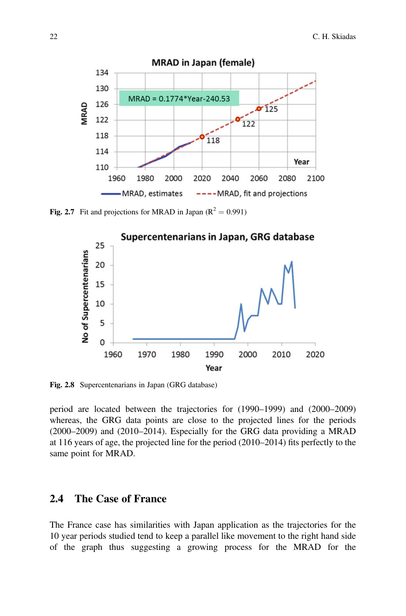<span id="page-7-0"></span>

<span id="page-7-1"></span>Fig. 2.7 Fit and projections for MRAD in Japan ( $R^2 = 0.991$ )



Fig. 2.8 Supercentenarians in Japan (GRG database)

period are located between the trajectories for (1990–1999) and (2000–2009) whereas, the GRG data points are close to the projected lines for the periods (2000–2009) and (2010–2014). Especially for the GRG data providing a MRAD at 116 years of age, the projected line for the period (2010–2014) fits perfectly to the same point for MRAD.

### 2.4 The Case of France

The France case has similarities with Japan application as the trajectories for the 10 year periods studied tend to keep a parallel like movement to the right hand side of the graph thus suggesting a growing process for the MRAD for the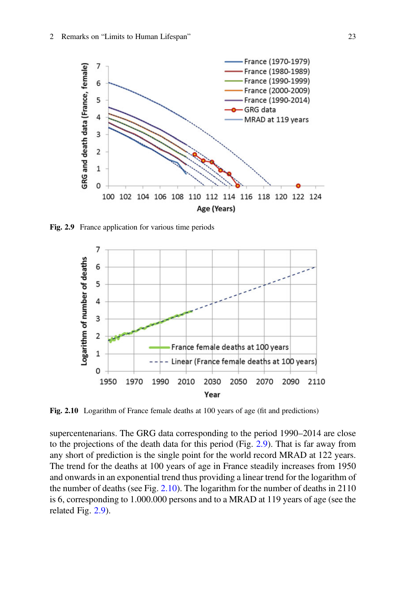<span id="page-8-0"></span>

<span id="page-8-1"></span>Fig. 2.9 France application for various time periods



Fig. 2.10 Logarithm of France female deaths at 100 years of age (fit and predictions)

supercentenarians. The GRG data corresponding to the period 1990–2014 are close to the projections of the death data for this period (Fig. [2.9\)](#page-8-0). That is far away from any short of prediction is the single point for the world record MRAD at 122 years. The trend for the deaths at 100 years of age in France steadily increases from 1950 and onwards in an exponential trend thus providing a linear trend for the logarithm of the number of deaths (see Fig. [2.10\)](#page-8-1). The logarithm for the number of deaths in 2110 is 6, corresponding to 1.000.000 persons and to a MRAD at 119 years of age (see the related Fig. [2.9](#page-8-0)).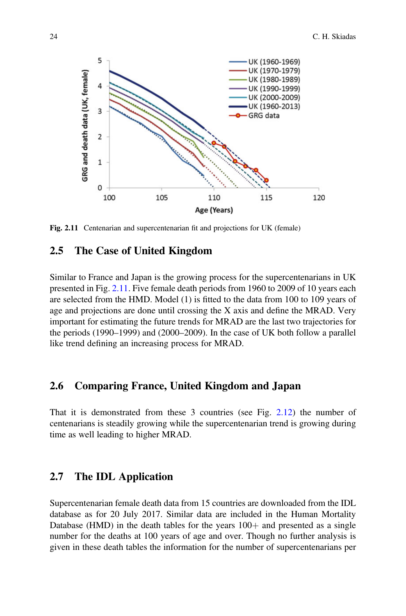<span id="page-9-0"></span>![](_page_9_Figure_1.jpeg)

Fig. 2.11 Centenarian and supercentenarian fit and projections for UK (female)

#### 2.5 The Case of United Kingdom

Similar to France and Japan is the growing process for the supercentenarians in UK presented in Fig. [2.11.](#page-9-0) Five female death periods from 1960 to 2009 of 10 years each are selected from the HMD. Model (1) is fitted to the data from 100 to 109 years of age and projections are done until crossing the X axis and define the MRAD. Very important for estimating the future trends for MRAD are the last two trajectories for the periods (1990–1999) and (2000–2009). In the case of UK both follow a parallel like trend defining an increasing process for MRAD.

#### 2.6 Comparing France, United Kingdom and Japan

That it is demonstrated from these 3 countries (see Fig. [2.12\)](#page-10-0) the number of centenarians is steadily growing while the supercentenarian trend is growing during time as well leading to higher MRAD.

## 2.7 The IDL Application

Supercentenarian female death data from 15 countries are downloaded from the IDL database as for 20 July 2017. Similar data are included in the Human Mortality Database (HMD) in the death tables for the years  $100+$  and presented as a single number for the deaths at 100 years of age and over. Though no further analysis is given in these death tables the information for the number of supercentenarians per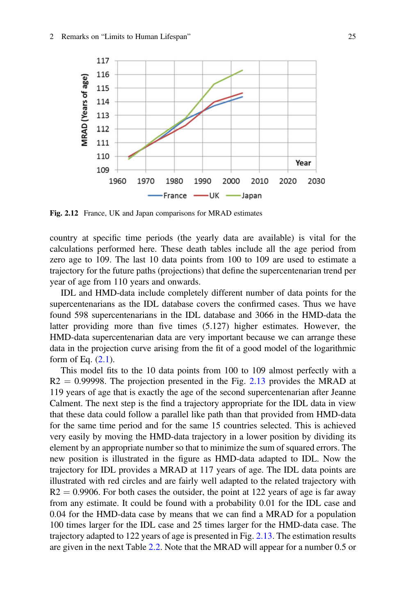<span id="page-10-0"></span>![](_page_10_Figure_1.jpeg)

Fig. 2.12 France, UK and Japan comparisons for MRAD estimates

country at specific time periods (the yearly data are available) is vital for the calculations performed here. These death tables include all the age period from zero age to 109. The last 10 data points from 100 to 109 are used to estimate a trajectory for the future paths (projections) that define the supercentenarian trend per year of age from 110 years and onwards.

IDL and HMD-data include completely different number of data points for the supercentenarians as the IDL database covers the confirmed cases. Thus we have found 598 supercentenarians in the IDL database and 3066 in the HMD-data the latter providing more than five times (5.127) higher estimates. However, the HMD-data supercentenarian data are very important because we can arrange these data in the projection curve arising from the fit of a good model of the logarithmic form of Eq.  $(2.1)$ .

This model fits to the 10 data points from 100 to 109 almost perfectly with a  $R2 = 0.99998$ . The projection presented in the Fig. [2.13](#page-11-0) provides the MRAD at 119 years of age that is exactly the age of the second supercentenarian after Jeanne Calment. The next step is the find a trajectory appropriate for the IDL data in view that these data could follow a parallel like path than that provided from HMD-data for the same time period and for the same 15 countries selected. This is achieved very easily by moving the HMD-data trajectory in a lower position by dividing its element by an appropriate number so that to minimize the sum of squared errors. The new position is illustrated in the figure as HMD-data adapted to IDL. Now the trajectory for IDL provides a MRAD at 117 years of age. The IDL data points are illustrated with red circles and are fairly well adapted to the related trajectory with  $R2 = 0.9906$ . For both cases the outsider, the point at 122 years of age is far away from any estimate. It could be found with a probability 0.01 for the IDL case and 0.04 for the HMD-data case by means that we can find a MRAD for a population 100 times larger for the IDL case and 25 times larger for the HMD-data case. The trajectory adapted to 122 years of age is presented in Fig. [2.13.](#page-11-0) The estimation results are given in the next Table [2.2](#page-11-1). Note that the MRAD will appear for a number 0.5 or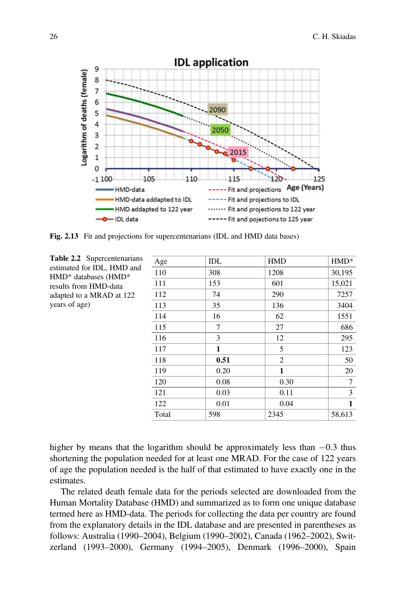<span id="page-11-0"></span>![](_page_11_Figure_1.jpeg)

Fig. 2.13 Fit and projections for supercentenarians (IDL and HMD data bases)

<span id="page-11-1"></span>Table 2.2 Supercentenarians estimated for IDL, HMD and HMD\* databases (HMD\* results from HMD-data adapted to a MRAD at 122 years of age)

| Age   | IDL  | <b>HMD</b>     | $HMD*$       |
|-------|------|----------------|--------------|
| 110   | 308  | 1208           | 30,195       |
| 111   | 153  | 601            | 15,021       |
| 112   | 74   | 290            | 7257         |
| 113   | 35   | 136            | 3404         |
| 114   | 16   | 62             | 1551         |
| 115   | 7    | 27             | 686          |
| 116   | 3    | 12             | 295          |
| 117   | 1    | 5              | 123          |
| 118   | 0.51 | $\overline{c}$ | 50           |
| 119   | 0.20 | 1              | 20           |
| 120   | 0.08 | 0.30           | 7            |
| 121   | 0.03 | 0.11           | 3            |
| 122   | 0.01 | 0.04           | $\mathbf{1}$ |
| Total | 598  | 2345           | 58,613       |

higher by means that the logarithm should be approximately less than  $-0.3$  thus shortening the population needed for at least one MRAD. For the case of 122 years of age the population needed is the half of that estimated to have exactly one in the estimates.

The related death female data for the periods selected are downloaded from the Human Mortality Database (HMD) and summarized as to form one unique database termed here as HMD-data. The periods for collecting the data per country are found from the explanatory details in the IDL database and are presented in parentheses as follows: Australia (1990–2004), Belgium (1990–2002), Canada (1962–2002), Switzerland (1993–2000), Germany (1994–2005), Denmark (1996–2000), Spain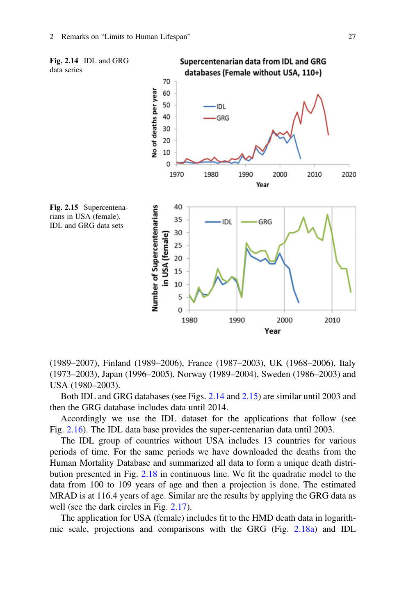<span id="page-12-0"></span>![](_page_12_Figure_1.jpeg)

<span id="page-12-1"></span>(1989–2007), Finland (1989–2006), France (1987–2003), UK (1968–2006), Italy (1973–2003), Japan (1996–2005), Norway (1989–2004), Sweden (1986–2003) and USA (1980–2003).

Both IDL and GRG databases (see Figs. [2.14](#page-12-0) and [2.15](#page-12-1)) are similar until 2003 and then the GRG database includes data until 2014.

Accordingly we use the IDL dataset for the applications that follow (see Fig. [2.16\)](#page-13-0). The IDL data base provides the super-centenarian data until 2003.

The IDL group of countries without USA includes 13 countries for various periods of time. For the same periods we have downloaded the deaths from the Human Mortality Database and summarized all data to form a unique death distribution presented in Fig. [2.18](#page-13-1) in continuous line. We fit the quadratic model to the data from 100 to 109 years of age and then a projection is done. The estimated MRAD is at 116.4 years of age. Similar are the results by applying the GRG data as well (see the dark circles in Fig. [2.17](#page-13-2)).

The application for USA (female) includes fit to the HMD death data in logarithmic scale, projections and comparisons with the GRG (Fig. [2.18a](#page-13-1)) and IDL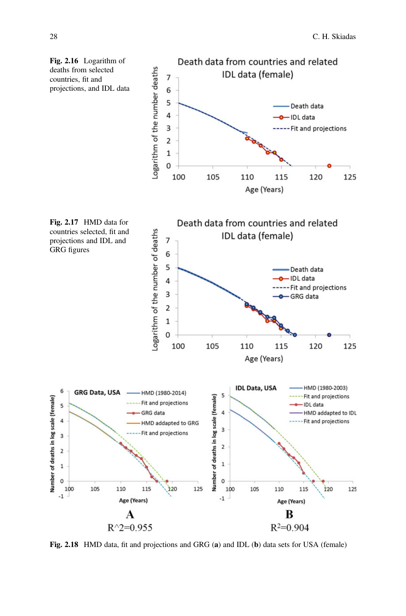<span id="page-13-2"></span><span id="page-13-0"></span>![](_page_13_Figure_1.jpeg)

<span id="page-13-1"></span>Fig. 2.18 HMD data, fit and projections and GRG (a) and IDL (b) data sets for USA (female)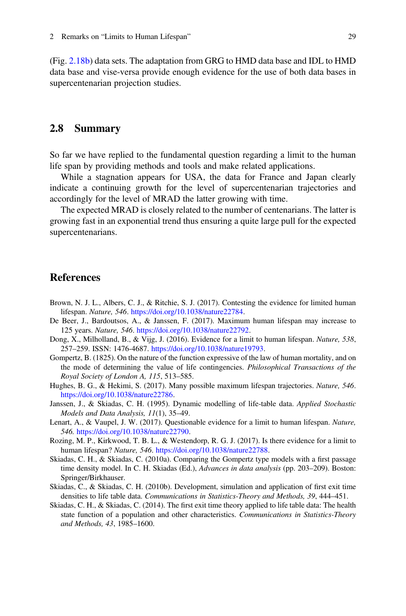(Fig. [2.18b](#page-13-1)) data sets. The adaptation from GRG to HMD data base and IDL to HMD data base and vise-versa provide enough evidence for the use of both data bases in supercentenarian projection studies.

#### 2.8 Summary

So far we have replied to the fundamental question regarding a limit to the human life span by providing methods and tools and make related applications.

While a stagnation appears for USA, the data for France and Japan clearly indicate a continuing growth for the level of supercentenarian trajectories and accordingly for the level of MRAD the latter growing with time.

The expected MRAD is closely related to the number of centenarians. The latter is growing fast in an exponential trend thus ensuring a quite large pull for the expected supercentenarians.

#### <span id="page-14-1"></span>**References**

- <span id="page-14-2"></span>Brown, N. J. L., Albers, C. J., & Ritchie, S. J. (2017). Contesting the evidence for limited human lifespan. Nature, 546. <https://doi.org/10.1038/nature22784>.
- <span id="page-14-0"></span>De Beer, J., Bardoutsos, A., & Janssen, F. (2017). Maximum human lifespan may increase to 125 years. Nature, 546. [https://doi.org/10.1038/nature22792.](https://doi.org/10.1038/nature22792)
- <span id="page-14-10"></span>Dong, X., Milholland, B., & Vijg, J. (2016). Evidence for a limit to human lifespan. Nature, 538, 257–259. ISSN: 1476-4687. <https://doi.org/10.1038/nature19793>.
- <span id="page-14-3"></span>Gompertz, B. (1825). On the nature of the function expressive of the law of human mortality, and on the mode of determining the value of life contingencies. Philosophical Transactions of the Royal Society of London A, 115, 513–585.
- <span id="page-14-6"></span>Hughes, B. G., & Hekimi, S. (2017). Many possible maximum lifespan trajectories. Nature, 546. <https://doi.org/10.1038/nature22786>.
- <span id="page-14-4"></span>Janssen, J., & Skiadas, C. H. (1995). Dynamic modelling of life-table data. Applied Stochastic Models and Data Analysis, 11(1), 35–49.
- <span id="page-14-5"></span>Lenart, A., & Vaupel, J. W. (2017). Questionable evidence for a limit to human lifespan. Nature, 546. <https://doi.org/10.1038/nature22790>.
- <span id="page-14-7"></span>Rozing, M. P., Kirkwood, T. B. L., & Westendorp, R. G. J. (2017). Is there evidence for a limit to human lifespan? Nature, 546. <https://doi.org/10.1038/nature22788>.
- <span id="page-14-8"></span>Skiadas, C. H., & Skiadas, C. (2010a). Comparing the Gompertz type models with a first passage time density model. In C. H. Skiadas (Ed.), Advances in data analysis (pp. 203-209). Boston: Springer/Birkhauser.
- <span id="page-14-9"></span>Skiadas, C., & Skiadas, C. H. (2010b). Development, simulation and application of first exit time densities to life table data. Communications in Statistics-Theory and Methods, 39, 444–451.
- Skiadas, C. H., & Skiadas, C. (2014). The first exit time theory applied to life table data: The health state function of a population and other characteristics. Communications in Statistics-Theory and Methods, 43, 1985–1600.